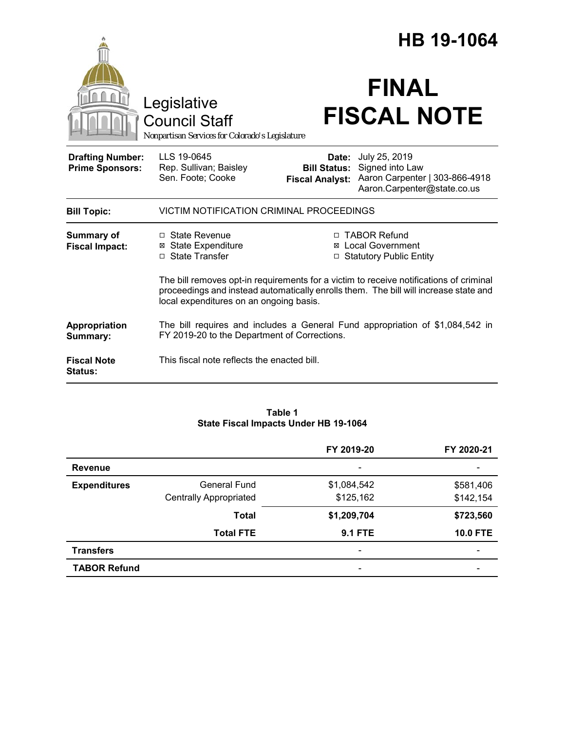|                                                   |                                                                                                                                                                                                                           | HB 19-1064                                             |                                                                                                   |  |
|---------------------------------------------------|---------------------------------------------------------------------------------------------------------------------------------------------------------------------------------------------------------------------------|--------------------------------------------------------|---------------------------------------------------------------------------------------------------|--|
|                                                   | Legislative<br><b>Council Staff</b><br>Nonpartisan Services for Colorado's Legislature                                                                                                                                    |                                                        | <b>FINAL</b><br><b>FISCAL NOTE</b>                                                                |  |
| <b>Drafting Number:</b><br><b>Prime Sponsors:</b> | LLS 19-0645<br>Rep. Sullivan; Baisley<br>Sen. Foote; Cooke                                                                                                                                                                | Date:<br><b>Bill Status:</b><br><b>Fiscal Analyst:</b> | July 25, 2019<br>Signed into Law<br>Aaron Carpenter   303-866-4918<br>Aaron.Carpenter@state.co.us |  |
| <b>Bill Topic:</b>                                | VICTIM NOTIFICATION CRIMINAL PROCEEDINGS                                                                                                                                                                                  |                                                        |                                                                                                   |  |
| <b>Summary of</b><br><b>Fiscal Impact:</b>        | □ State Revenue<br><b>⊠</b> State Expenditure<br>□ State Transfer                                                                                                                                                         |                                                        | □ TABOR Refund<br><b>⊠</b> Local Government<br>□ Statutory Public Entity                          |  |
|                                                   | The bill removes opt-in requirements for a victim to receive notifications of criminal<br>proceedings and instead automatically enrolls them. The bill will increase state and<br>local expenditures on an ongoing basis. |                                                        |                                                                                                   |  |
| Appropriation<br>Summary:                         | FY 2019-20 to the Department of Corrections.                                                                                                                                                                              |                                                        | The bill requires and includes a General Fund appropriation of \$1,084,542 in                     |  |
| <b>Fiscal Note</b><br>Status:                     | This fiscal note reflects the enacted bill.                                                                                                                                                                               |                                                        |                                                                                                   |  |

#### **Table 1 State Fiscal Impacts Under HB 19-1064**

|                     |                               | FY 2019-20     | FY 2020-21      |
|---------------------|-------------------------------|----------------|-----------------|
| <b>Revenue</b>      |                               |                |                 |
| <b>Expenditures</b> | <b>General Fund</b>           | \$1,084,542    | \$581,406       |
|                     | <b>Centrally Appropriated</b> | \$125,162      | \$142,154       |
|                     | <b>Total</b>                  | \$1,209,704    | \$723,560       |
|                     | <b>Total FTE</b>              | <b>9.1 FTE</b> | <b>10.0 FTE</b> |
| <b>Transfers</b>    |                               |                |                 |
| <b>TABOR Refund</b> |                               |                |                 |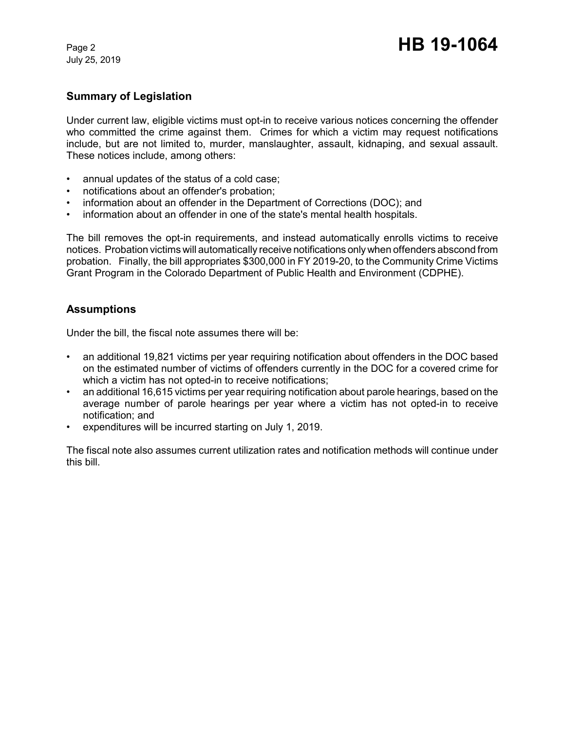July 25, 2019

# **Summary of Legislation**

Under current law, eligible victims must opt-in to receive various notices concerning the offender who committed the crime against them. Crimes for which a victim may request notifications include, but are not limited to, murder, manslaughter, assault, kidnaping, and sexual assault. These notices include, among others:

- annual updates of the status of a cold case;
- notifications about an offender's probation;
- information about an offender in the Department of Corrections (DOC); and
- information about an offender in one of the state's mental health hospitals.

The bill removes the opt-in requirements, and instead automatically enrolls victims to receive notices. Probation victims will automatically receive notifications only when offenders abscond from probation. Finally, the bill appropriates \$300,000 in FY 2019-20, to the Community Crime Victims Grant Program in the Colorado Department of Public Health and Environment (CDPHE).

## **Assumptions**

Under the bill, the fiscal note assumes there will be:

- an additional 19,821 victims per year requiring notification about offenders in the DOC based on the estimated number of victims of offenders currently in the DOC for a covered crime for which a victim has not opted-in to receive notifications;
- an additional 16,615 victims per year requiring notification about parole hearings, based on the average number of parole hearings per year where a victim has not opted-in to receive notification; and
- expenditures will be incurred starting on July 1, 2019.

The fiscal note also assumes current utilization rates and notification methods will continue under this bill.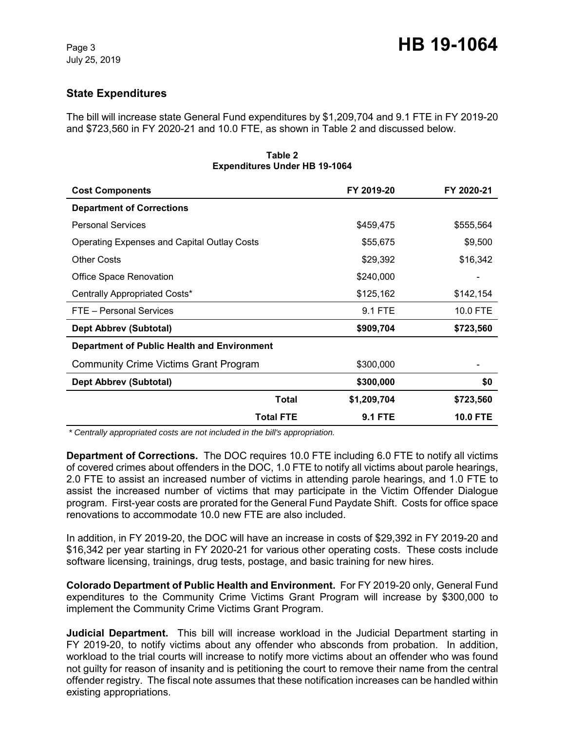# **State Expenditures**

The bill will increase state General Fund expenditures by \$1,209,704 and 9.1 FTE in FY 2019-20 and \$723,560 in FY 2020-21 and 10.0 FTE, as shown in Table 2 and discussed below.

| L                                                  |                |                 |  |  |  |  |
|----------------------------------------------------|----------------|-----------------|--|--|--|--|
| <b>Cost Components</b>                             | FY 2019-20     | FY 2020-21      |  |  |  |  |
| <b>Department of Corrections</b>                   |                |                 |  |  |  |  |
| <b>Personal Services</b>                           | \$459,475      | \$555,564       |  |  |  |  |
| <b>Operating Expenses and Capital Outlay Costs</b> | \$55,675       | \$9,500         |  |  |  |  |
| <b>Other Costs</b>                                 | \$29,392       | \$16,342        |  |  |  |  |
| <b>Office Space Renovation</b>                     | \$240,000      |                 |  |  |  |  |
| Centrally Appropriated Costs*                      | \$125,162      | \$142,154       |  |  |  |  |
| FTE - Personal Services                            | 9.1 FTE        | 10.0 FTE        |  |  |  |  |
| <b>Dept Abbrev (Subtotal)</b>                      | \$909,704      | \$723,560       |  |  |  |  |
| <b>Department of Public Health and Environment</b> |                |                 |  |  |  |  |
| <b>Community Crime Victims Grant Program</b>       | \$300,000      |                 |  |  |  |  |
| Dept Abbrev (Subtotal)                             | \$300,000      | \$0             |  |  |  |  |
| <b>Total</b>                                       | \$1,209,704    | \$723,560       |  |  |  |  |
| <b>Total FTE</b>                                   | <b>9.1 FTE</b> | <b>10.0 FTE</b> |  |  |  |  |

**Table 2 Expenditures Under HB 19-1064**

 *\* Centrally appropriated costs are not included in the bill's appropriation.*

**Department of Corrections.** The DOC requires 10.0 FTE including 6.0 FTE to notify all victims of covered crimes about offenders in the DOC, 1.0 FTE to notify all victims about parole hearings, 2.0 FTE to assist an increased number of victims in attending parole hearings, and 1.0 FTE to assist the increased number of victims that may participate in the Victim Offender Dialogue program. First-year costs are prorated for the General Fund Paydate Shift. Costs for office space renovations to accommodate 10.0 new FTE are also included.

In addition, in FY 2019-20, the DOC will have an increase in costs of \$29,392 in FY 2019-20 and \$16,342 per year starting in FY 2020-21 for various other operating costs. These costs include software licensing, trainings, drug tests, postage, and basic training for new hires.

**Colorado Department of Public Health and Environment.** For FY 2019-20 only, General Fund expenditures to the Community Crime Victims Grant Program will increase by \$300,000 to implement the Community Crime Victims Grant Program.

**Judicial Department.** This bill will increase workload in the Judicial Department starting in FY 2019-20, to notify victims about any offender who absconds from probation. In addition, workload to the trial courts will increase to notify more victims about an offender who was found not guilty for reason of insanity and is petitioning the court to remove their name from the central offender registry. The fiscal note assumes that these notification increases can be handled within existing appropriations.